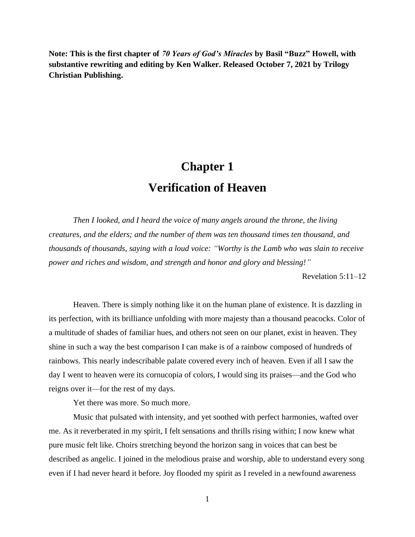**Note: This is the first chapter of** *70 Years of God's Miracles* **by Basil "Buzz" Howell, with substantive rewriting and editing by Ken Walker. Released October 7, 2021 by Trilogy Christian Publishing.** 

# **Chapter 1 Verification of Heaven**

*Then I looked, and I heard the voice of many angels around the throne, the living creatures, and the elders; and the number of them was ten thousand times ten thousand, and thousands of thousands, saying with a loud voice: "Worthy is the Lamb who was slain to receive power and riches and wisdom, and strength and honor and glory and blessing!"*

Revelation 5:11–12

Heaven. There is simply nothing like it on the human plane of existence. It is dazzling in its perfection, with its brilliance unfolding with more majesty than a thousand peacocks. Color of a multitude of shades of familiar hues, and others not seen on our planet, exist in heaven. They shine in such a way the best comparison I can make is of a rainbow composed of hundreds of rainbows. This nearly indescribable palate covered every inch of heaven. Even if all I saw the day I went to heaven were its cornucopia of colors, I would sing its praises—and the God who reigns over it—for the rest of my days.

Yet there was more. So much more.

Music that pulsated with intensity, and yet soothed with perfect harmonies, wafted over me. As it reverberated in my spirit, I felt sensations and thrills rising within; I now knew what pure music felt like. Choirs stretching beyond the horizon sang in voices that can best be described as angelic. I joined in the melodious praise and worship, able to understand every song even if I had never heard it before. Joy flooded my spirit as I reveled in a newfound awareness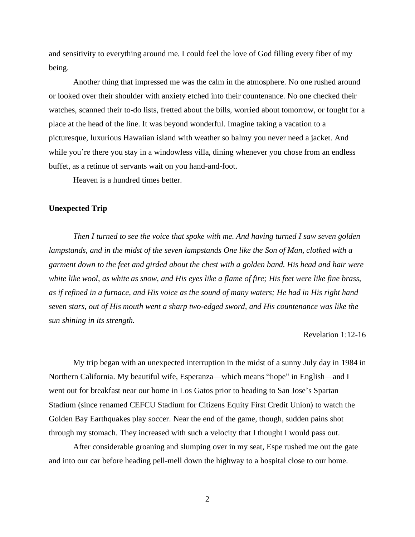and sensitivity to everything around me. I could feel the love of God filling every fiber of my being.

Another thing that impressed me was the calm in the atmosphere. No one rushed around or looked over their shoulder with anxiety etched into their countenance. No one checked their watches, scanned their to-do lists, fretted about the bills, worried about tomorrow, or fought for a place at the head of the line. It was beyond wonderful. Imagine taking a vacation to a picturesque, luxurious Hawaiian island with weather so balmy you never need a jacket. And while you're there you stay in a windowless villa, dining whenever you chose from an endless buffet, as a retinue of servants wait on you hand-and-foot.

Heaven is a hundred times better.

# **Unexpected Trip**

*Then I turned to see the voice that spoke with me. And having turned I saw seven golden lampstands, and in the midst of the seven lampstands One like the Son of Man, clothed with a garment down to the feet and girded about the chest with a golden band. His head and hair were white like wool, as white as snow, and His eyes like a flame of fire; His feet were like fine brass, as if refined in a furnace, and His voice as the sound of many waters; He had in His right hand seven stars, out of His mouth went a sharp two-edged sword, and His countenance was like the sun shining in its strength.*

### Revelation 1:12-16

My trip began with an unexpected interruption in the midst of a sunny July day in 1984 in Northern California. My beautiful wife, Esperanza—which means "hope" in English—and I went out for breakfast near our home in Los Gatos prior to heading to San Jose's Spartan Stadium (since renamed CEFCU Stadium for Citizens Equity First Credit Union) to watch the Golden Bay Earthquakes play soccer. Near the end of the game, though, sudden pains shot through my stomach. They increased with such a velocity that I thought I would pass out.

After considerable groaning and slumping over in my seat, Espe rushed me out the gate and into our car before heading pell-mell down the highway to a hospital close to our home.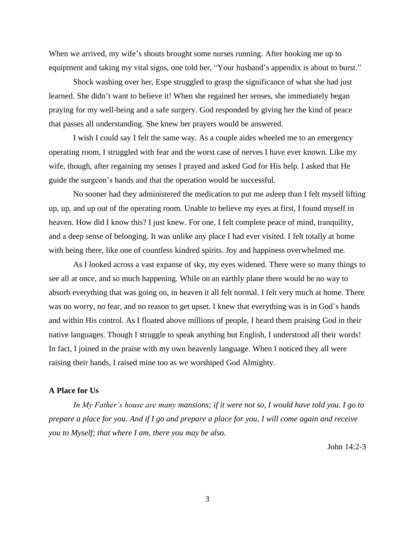When we arrived, my wife's shouts brought some nurses running. After hooking me up to equipment and taking my vital signs, one told her, "Your husband's appendix is about to burst."

Shock washing over her, Espe struggled to grasp the significance of what she had just learned. She didn't want to believe it! When she regained her senses, she immediately began praying for my well-being and a safe surgery. God responded by giving her the kind of peace that passes all understanding. She knew her prayers would be answered.

I wish I could say I felt the same way. As a couple aides wheeled me to an emergency operating room, I struggled with fear and the worst case of nerves I have ever known. Like my wife, though, after regaining my senses I prayed and asked God for His help. I asked that He guide the surgeon's hands and that the operation would be successful.

No sooner had they administered the medication to put me asleep than I felt myself lifting up, up, and up out of the operating room. Unable to believe my eyes at first, I found myself in heaven. How did I know this? I just knew. For one, I felt complete peace of mind, tranquility, and a deep sense of belonging. It was unlike any place I had ever visited. I felt totally at home with being there, like one of countless kindred spirits. Joy and happiness overwhelmed me.

As I looked across a vast expanse of sky, my eyes widened. There were so many things to see all at once, and so much happening. While on an earthly plane there would be no way to absorb everything that was going on, in heaven it all felt normal. I felt very much at home. There was no worry, no fear, and no reason to get upset. I knew that everything was is in God's hands and within His control. As I floated above millions of people, I heard them praising God in their native languages. Though I struggle to speak anything but English, I understood all their words! In fact, I joined in the praise with my own heavenly language. When I noticed they all were raising their hands, I raised mine too as we worshiped God Almighty.

# **A Place for Us**

*In My Father's house are many mansions; if it were not so, I would have told you. I go to prepare a place for you. And if I go and prepare a place for you, I will come again and receive you to Myself; that where I am, there you may be also.*

John 14:2-3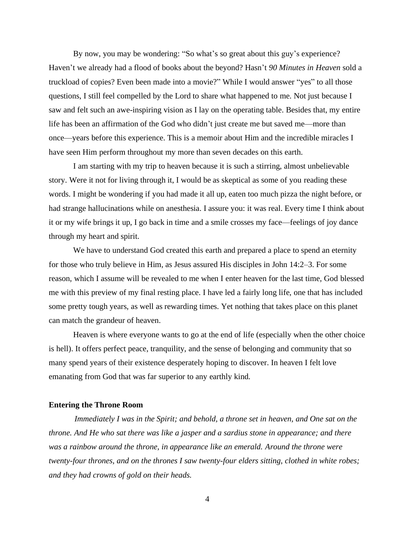By now, you may be wondering: "So what's so great about this guy's experience? Haven't we already had a flood of books about the beyond? Hasn't *90 Minutes in Heaven* sold a truckload of copies? Even been made into a movie?" While I would answer "yes" to all those questions, I still feel compelled by the Lord to share what happened to me. Not just because I saw and felt such an awe-inspiring vision as I lay on the operating table. Besides that, my entire life has been an affirmation of the God who didn't just create me but saved me—more than once—years before this experience. This is a memoir about Him and the incredible miracles I have seen Him perform throughout my more than seven decades on this earth.

I am starting with my trip to heaven because it is such a stirring, almost unbelievable story. Were it not for living through it, I would be as skeptical as some of you reading these words. I might be wondering if you had made it all up, eaten too much pizza the night before, or had strange hallucinations while on anesthesia. I assure you: it was real. Every time I think about it or my wife brings it up, I go back in time and a smile crosses my face—feelings of joy dance through my heart and spirit.

We have to understand God created this earth and prepared a place to spend an eternity for those who truly believe in Him, as Jesus assured His disciples in John 14:2–3. For some reason, which I assume will be revealed to me when I enter heaven for the last time, God blessed me with this preview of my final resting place. I have led a fairly long life, one that has included some pretty tough years, as well as rewarding times. Yet nothing that takes place on this planet can match the grandeur of heaven.

Heaven is where everyone wants to go at the end of life (especially when the other choice is hell). It offers perfect peace, tranquility, and the sense of belonging and community that so many spend years of their existence desperately hoping to discover. In heaven I felt love emanating from God that was far superior to any earthly kind.

#### **Entering the Throne Room**

*Immediately I was in the Spirit; and behold, a throne set in heaven, and One sat on the throne. And He who sat there was like a jasper and a sardius stone in appearance; and there was a rainbow around the throne, in appearance like an emerald. Around the throne were twenty-four thrones, and on the thrones I saw twenty-four elders sitting, clothed in white robes; and they had crowns of gold on their heads.*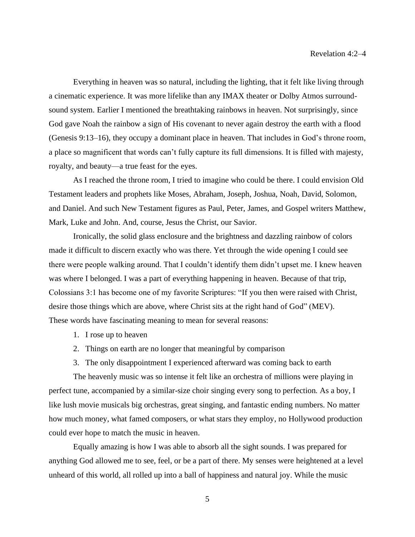Everything in heaven was so natural, including the lighting, that it felt like living through a cinematic experience. It was more lifelike than any IMAX theater or Dolby Atmos surroundsound system. Earlier I mentioned the breathtaking rainbows in heaven. Not surprisingly, since God gave Noah the rainbow a sign of His covenant to never again destroy the earth with a flood (Genesis 9:13–16), they occupy a dominant place in heaven. That includes in God's throne room, a place so magnificent that words can't fully capture its full dimensions. It is filled with majesty, royalty, and beauty—a true feast for the eyes.

As I reached the throne room, I tried to imagine who could be there. I could envision Old Testament leaders and prophets like Moses, Abraham, Joseph, Joshua, Noah, David, Solomon, and Daniel. And such New Testament figures as Paul, Peter, James, and Gospel writers Matthew, Mark, Luke and John. And, course, Jesus the Christ, our Savior.

Ironically, the solid glass enclosure and the brightness and dazzling rainbow of colors made it difficult to discern exactly who was there. Yet through the wide opening I could see there were people walking around. That I couldn't identify them didn't upset me. I knew heaven was where I belonged. I was a part of everything happening in heaven. Because of that trip, Colossians 3:1 has become one of my favorite Scriptures: "If you then were raised with Christ, desire those things which are above, where Christ sits at the right hand of God" (MEV). These words have fascinating meaning to mean for several reasons:

- 1. I rose up to heaven
- 2. Things on earth are no longer that meaningful by comparison
- 3. The only disappointment I experienced afterward was coming back to earth

The heavenly music was so intense it felt like an orchestra of millions were playing in perfect tune, accompanied by a similar-size choir singing every song to perfection. As a boy, I like lush movie musicals big orchestras, great singing, and fantastic ending numbers. No matter how much money, what famed composers, or what stars they employ, no Hollywood production could ever hope to match the music in heaven.

Equally amazing is how I was able to absorb all the sight sounds. I was prepared for anything God allowed me to see, feel, or be a part of there. My senses were heightened at a level unheard of this world, all rolled up into a ball of happiness and natural joy. While the music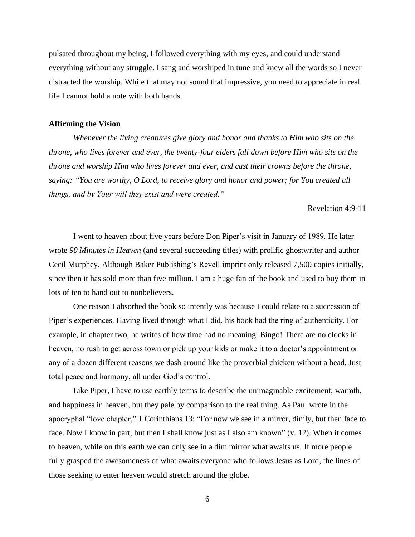pulsated throughout my being, I followed everything with my eyes, and could understand everything without any struggle. I sang and worshiped in tune and knew all the words so I never distracted the worship. While that may not sound that impressive, you need to appreciate in real life I cannot hold a note with both hands.

# **Affirming the Vision**

*Whenever the living creatures give glory and honor and thanks to Him who sits on the throne, who lives forever and ever, the twenty-four elders fall down before Him who sits on the throne and worship Him who lives forever and ever, and cast their crowns before the throne, saying: "You are worthy, O Lord, to receive glory and honor and power; for You created all things, and by Your will they exist and were created."*

Revelation 4:9-11

I went to heaven about five years before Don Piper's visit in January of 1989. He later wrote *90 Minutes in Heaven* (and several succeeding titles) with prolific ghostwriter and author Cecil Murphey. Although Baker Publishing's Revell imprint only released 7,500 copies initially, since then it has sold more than five million. I am a huge fan of the book and used to buy them in lots of ten to hand out to nonbelievers.

One reason I absorbed the book so intently was because I could relate to a succession of Piper's experiences. Having lived through what I did, his book had the ring of authenticity. For example, in chapter two, he writes of how time had no meaning. Bingo! There are no clocks in heaven, no rush to get across town or pick up your kids or make it to a doctor's appointment or any of a dozen different reasons we dash around like the proverbial chicken without a head. Just total peace and harmony, all under God's control.

Like Piper, I have to use earthly terms to describe the unimaginable excitement, warmth, and happiness in heaven, but they pale by comparison to the real thing. As Paul wrote in the apocryphal "love chapter," 1 Corinthians 13: "For now we see in a mirror, dimly, but then face to face. Now I know in part, but then I shall know just as I also am known" (v. 12). When it comes to heaven, while on this earth we can only see in a dim mirror what awaits us. If more people fully grasped the awesomeness of what awaits everyone who follows Jesus as Lord, the lines of those seeking to enter heaven would stretch around the globe.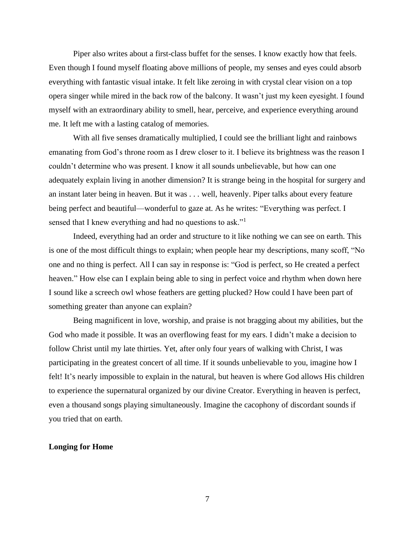Piper also writes about a first-class buffet for the senses. I know exactly how that feels. Even though I found myself floating above millions of people, my senses and eyes could absorb everything with fantastic visual intake. It felt like zeroing in with crystal clear vision on a top opera singer while mired in the back row of the balcony. It wasn't just my keen eyesight. I found myself with an extraordinary ability to smell, hear, perceive, and experience everything around me. It left me with a lasting catalog of memories.

With all five senses dramatically multiplied, I could see the brilliant light and rainbows emanating from God's throne room as I drew closer to it. I believe its brightness was the reason I couldn't determine who was present. I know it all sounds unbelievable, but how can one adequately explain living in another dimension? It is strange being in the hospital for surgery and an instant later being in heaven. But it was . . . well, heavenly. Piper talks about every feature being perfect and beautiful—wonderful to gaze at. As he writes: "Everything was perfect. I sensed that I knew everything and had no questions to ask."<sup>1</sup>

Indeed, everything had an order and structure to it like nothing we can see on earth. This is one of the most difficult things to explain; when people hear my descriptions, many scoff, "No one and no thing is perfect. All I can say in response is: "God is perfect, so He created a perfect heaven." How else can I explain being able to sing in perfect voice and rhythm when down here I sound like a screech owl whose feathers are getting plucked? How could I have been part of something greater than anyone can explain?

Being magnificent in love, worship, and praise is not bragging about my abilities, but the God who made it possible. It was an overflowing feast for my ears. I didn't make a decision to follow Christ until my late thirties. Yet, after only four years of walking with Christ, I was participating in the greatest concert of all time. If it sounds unbelievable to you, imagine how I felt! It's nearly impossible to explain in the natural, but heaven is where God allows His children to experience the supernatural organized by our divine Creator. Everything in heaven is perfect, even a thousand songs playing simultaneously. Imagine the cacophony of discordant sounds if you tried that on earth.

# **Longing for Home**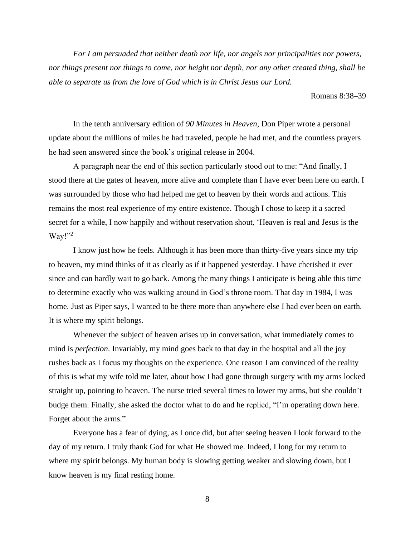*For I am persuaded that neither death nor life, nor angels nor principalities nor powers, nor things present nor things to come, nor height nor depth, nor any other created thing, shall be able to separate us from the love of God which is in Christ Jesus our Lord.*

Romans 8:38–39

In the tenth anniversary edition of *90 Minutes in Heaven*, Don Piper wrote a personal update about the millions of miles he had traveled, people he had met, and the countless prayers he had seen answered since the book's original release in 2004.

A paragraph near the end of this section particularly stood out to me: "And finally, I stood there at the gates of heaven, more alive and complete than I have ever been here on earth. I was surrounded by those who had helped me get to heaven by their words and actions. This remains the most real experience of my entire existence. Though I chose to keep it a sacred secret for a while, I now happily and without reservation shout, 'Heaven is real and Jesus is the  $Way!$ <sup>22</sup>

I know just how he feels. Although it has been more than thirty-five years since my trip to heaven, my mind thinks of it as clearly as if it happened yesterday. I have cherished it ever since and can hardly wait to go back. Among the many things I anticipate is being able this time to determine exactly who was walking around in God's throne room. That day in 1984, I was home. Just as Piper says, I wanted to be there more than anywhere else I had ever been on earth. It is where my spirit belongs.

Whenever the subject of heaven arises up in conversation, what immediately comes to mind is *perfection*. Invariably, my mind goes back to that day in the hospital and all the joy rushes back as I focus my thoughts on the experience. One reason I am convinced of the reality of this is what my wife told me later, about how I had gone through surgery with my arms locked straight up, pointing to heaven. The nurse tried several times to lower my arms, but she couldn't budge them. Finally, she asked the doctor what to do and he replied, "I'm operating down here. Forget about the arms."

Everyone has a fear of dying, as I once did, but after seeing heaven I look forward to the day of my return. I truly thank God for what He showed me. Indeed, I long for my return to where my spirit belongs. My human body is slowing getting weaker and slowing down, but I know heaven is my final resting home.